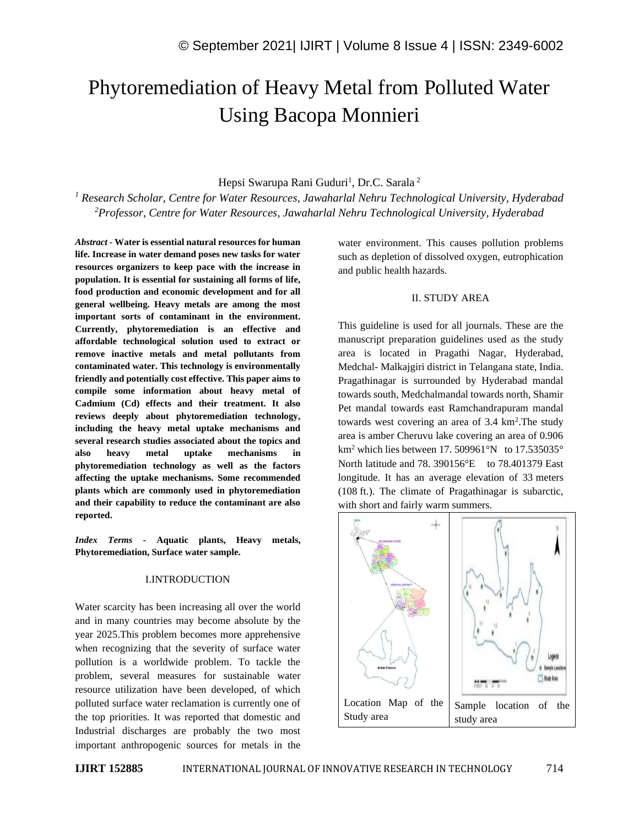# Phytoremediation of Heavy Metal from Polluted Water Using Bacopa Monnieri

# Hepsi Swarupa Rani Guduri<sup>1</sup>, Dr.C. Sarala<sup>2</sup>

*<sup>1</sup> Research Scholar, Centre for Water Resources, Jawaharlal Nehru Technological University, Hyderabad <sup>2</sup>Professor, Centre for Water Resources, Jawaharlal Nehru Technological University, Hyderabad* 

*Abstract -* **Water is essential natural resources for human life. Increase in water demand poses new tasks for water resources organizers to keep pace with the increase in population. It is essential for sustaining all forms of life, food production and economic development and for all general wellbeing. Heavy metals are among the most important sorts of contaminant in the environment. Currently, phytoremediation is an effective and affordable technological solution used to extract or remove inactive metals and metal pollutants from contaminated water. This technology is environmentally friendly and potentially cost effective. This paper aims to compile some information about heavy metal of Cadmium (Cd) effects and their treatment. It also reviews deeply about phytoremediation technology, including the heavy metal uptake mechanisms and several research studies associated about the topics and also heavy metal uptake mechanisms in phytoremediation technology as well as the factors affecting the uptake mechanisms. Some recommended plants which are commonly used in phytoremediation and their capability to reduce the contaminant are also reported.**

*Index Terms -* **Aquatic plants, Heavy metals, Phytoremediation, Surface water sample.**

## I.INTRODUCTION

Water scarcity has been increasing all over the world and in many countries may become absolute by the year 2025.This problem becomes more apprehensive when recognizing that the severity of surface water pollution is a worldwide problem. To tackle the problem, several measures for sustainable water resource utilization have been developed, of which polluted surface water reclamation is currently one of the top priorities. It was reported that domestic and Industrial discharges are probably the two most important anthropogenic sources for metals in the water environment. This causes pollution problems such as depletion of dissolved oxygen, eutrophication and public health hazards.

## II. STUDY AREA

This guideline is used for all journals. These are the manuscript preparation guidelines used as the study area is located in Pragathi Nagar, Hyderabad, Medchal- Malkajgiri district in Telangana state, India. Pragathinagar is surrounded by Hyderabad mandal towards south, Medchalmandal towards north, Shamir Pet mandal towards east Ramchandrapuram mandal towards west covering an area of 3.4 km<sup>2</sup>. The study area is amber Cheruvu lake covering an area of 0.906  $km^2$  which lies between 17, 509961°N to 17,535035° North latitude and 78. 390156°E to 78.401379 East longitude. It has an average elevation of 33 meters (108 ft.). The climate of Pragathinagar is subarctic, with short and fairly warm summers.

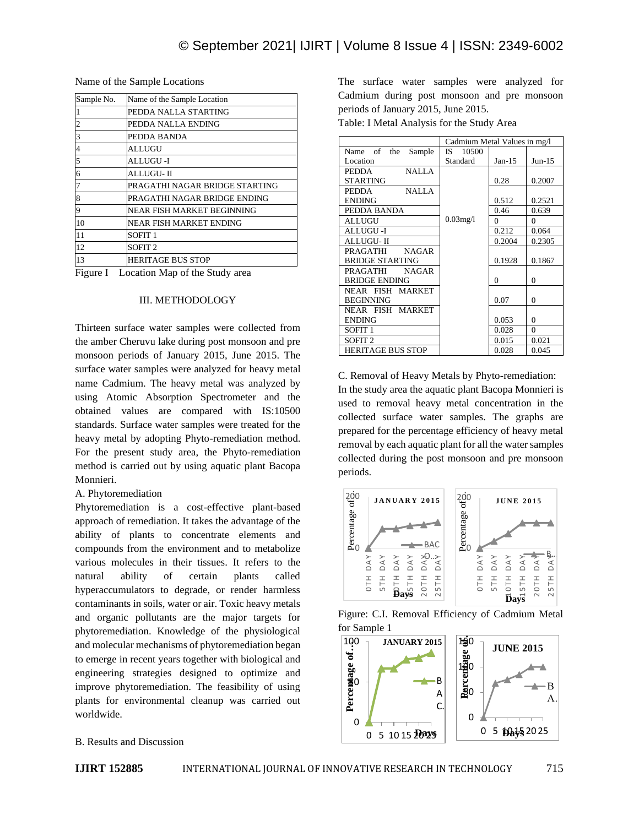| Name of the Sample Locations |  |
|------------------------------|--|
|------------------------------|--|

| Sample No. | Name of the Sample Location    |  |  |
|------------|--------------------------------|--|--|
|            | PEDDA NALLA STARTING           |  |  |
|            | PEDDA NALLA ENDING             |  |  |
| 3          | PEDDA BANDA                    |  |  |
|            | <b>ALLUGU</b>                  |  |  |
| 5          | ALLUGU -I                      |  |  |
| 6          | ALLUGU- II                     |  |  |
|            | PRAGATHI NAGAR BRIDGE STARTING |  |  |
| 8          | PRAGATHI NAGAR BRIDGE ENDING   |  |  |
| Q          | NEAR FISH MARKET BEGINNING     |  |  |
| 10         | NEAR FISH MARKET ENDING        |  |  |
| 11         | SOFIT <sub>1</sub>             |  |  |
| 12         | SOFIT <sub>2</sub>             |  |  |
| 13         | <b>HERITAGE BUS STOP</b>       |  |  |

Figure I Location Map of the Study area

#### III. METHODOLOGY

Thirteen surface water samples were collected from the amber Cheruvu lake during post monsoon and pre monsoon periods of January 2015, June 2015. The surface water samples were analyzed for heavy metal name Cadmium. The heavy metal was analyzed by using Atomic Absorption Spectrometer and the obtained values are compared with IS:10500 standards. Surface water samples were treated for the heavy metal by adopting Phyto-remediation method. For the present study area, the Phyto-remediation method is carried out by using aquatic plant Bacopa Monnieri.

#### A. Phytoremediation

Phytoremediation is a cost-effective plant-based approach of remediation. It takes the advantage of the ability of plants to concentrate elements and compounds from the environment and to metabolize various molecules in their tissues. It refers to the natural ability of certain plants called hyperaccumulators to degrade, or render harmless contaminants in soils, water or air. Toxic heavy metals and organic pollutants are the major targets for phytoremediation. Knowledge of the physiological and molecular mechanisms of phytoremediation began to emerge in recent years together with biological and engineering strategies designed to optimize and improve phytoremediation. The feasibility of using plants for environmental cleanup was carried out worldwide.

## B. Results and Discussion

The surface water samples were analyzed for Cadmium during post monsoon and pre monsoon periods of January 2015, June 2015.

Table: I Metal Analysis for the Study Area

|                                 | Cadmium Metal Values in mg/l |          |              |
|---------------------------------|------------------------------|----------|--------------|
| Name of the<br>Sample           | 10500<br>IS.                 |          |              |
| Location                        | Standard                     | $Jan-15$ | $Jun-15$     |
| <b>NALLA</b><br><b>PEDDA</b>    |                              |          |              |
| <b>STARTING</b>                 |                              | 0.28     | 0.2007       |
| <b>NALLA</b><br><b>PEDDA</b>    |                              |          |              |
| <b>ENDING</b>                   |                              | 0.512    | 0.2521       |
| PEDDA BANDA                     |                              | 0.46     | 0.639        |
| ALLUGU                          | $0.03$ mg/l                  | $\Omega$ | $\theta$     |
| ALLUGU -I                       |                              | 0.212    | 0.064        |
| ALLUGU- II                      |                              | 0.2004   | 0.2305       |
| <b>PRAGATHI</b><br><b>NAGAR</b> |                              |          |              |
| <b>BRIDGE STARTING</b>          |                              | 0.1928   | 0.1867       |
| <b>PRAGATHI</b><br><b>NAGAR</b> |                              |          |              |
| <b>BRIDGE ENDING</b>            |                              | 0        | $\mathbf{0}$ |
| NEAR FISH MARKET                |                              |          |              |
| <b>BEGINNING</b>                |                              | 0.07     | $\Omega$     |
| NEAR FISH MARKET                |                              |          |              |
| <b>ENDING</b>                   |                              | 0.053    | $\theta$     |
| SOFIT <sub>1</sub>              |                              | 0.028    | $\theta$     |
| SOFIT <sub>2</sub>              |                              | 0.015    | 0.021        |
| <b>HERITAGE BUS STOP</b>        |                              | 0.028    | 0.045        |

C. Removal of Heavy Metals by Phyto-remediation: In the study area the aquatic plant Bacopa Monnieri is used to removal heavy metal concentration in the collected surface water samples. The graphs are prepared for the percentage efficiency of heavy metal removal by each aquatic plant for all the water samples collected during the post monsoon and pre monsoon periods.



Figure: C.I. Removal Efficiency of Cadmium Metal for Sample 1

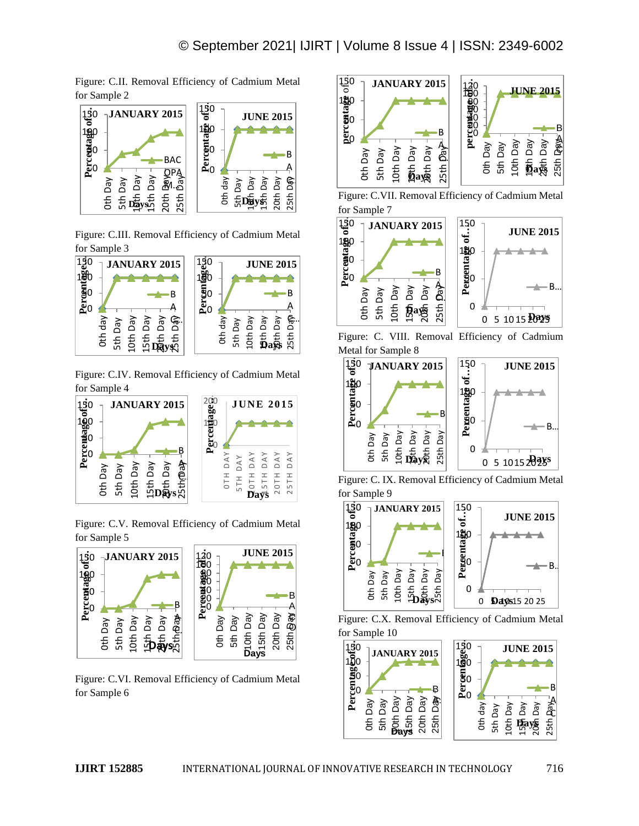Figure: C.II. Removal Efficiency of Cadmium Metal for Sample 2



Figure: C.III. Removal Efficiency of Cadmium Metal for Sample 3



Figure: C.IV. Removal Efficiency of Cadmium Metal for Sample 4



Figure: C.V. Removal Efficiency of Cadmium Metal for Sample 5



Figure: C.VI. Removal Efficiency of Cadmium Metal for Sample 6







Figure: C. VIII. Removal Efficiency of Cadmium Metal for Sample 8



Figure: C. IX. Removal Efficiency of Cadmium Metal for Sample 9



Figure: C.X. Removal Efficiency of Cadmium Metal for Sample 10